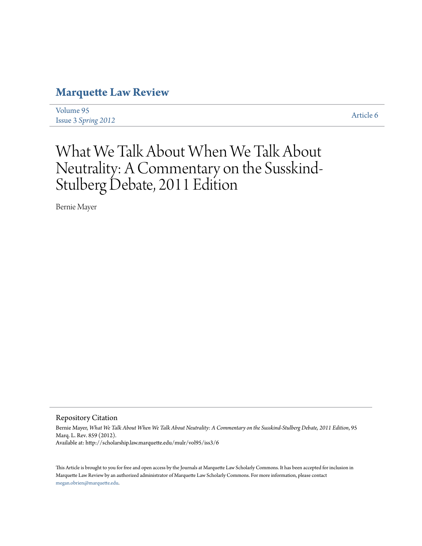## **[Marquette Law Review](http://scholarship.law.marquette.edu/mulr)**

[Volume 95](http://scholarship.law.marquette.edu/mulr/vol95) Issue 3 *[Spring 2012](http://scholarship.law.marquette.edu/mulr/vol95/iss3)* [Article 6](http://scholarship.law.marquette.edu/mulr/vol95/iss3/6)

# What We Talk About When We Talk About Neutrality: A Commentary on the Susskind-Stulberg Debate, 2011 Edition

Bernie Mayer

Repository Citation

Bernie Mayer, *What We Talk About When We Talk About Neutrality: A Commentary on the Susskind-Stulberg Debate, 2011 Edition*, 95 Marq. L. Rev. 859 (2012). Available at: http://scholarship.law.marquette.edu/mulr/vol95/iss3/6

This Article is brought to you for free and open access by the Journals at Marquette Law Scholarly Commons. It has been accepted for inclusion in Marquette Law Review by an authorized administrator of Marquette Law Scholarly Commons. For more information, please contact [megan.obrien@marquette.edu.](mailto:megan.obrien@marquette.edu)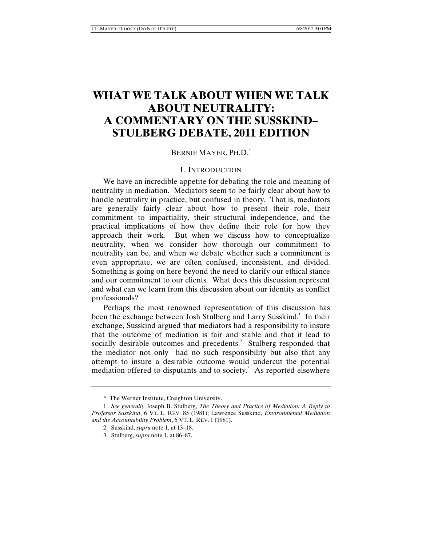### **WHAT WE TALK ABOUT WHEN WE TALK ABOUT NEUTRALITY: A COMMENTARY ON THE SUSSKIND– STULBERG DEBATE, 2011 EDITION**

#### BERNIE MAYER, PH.D.<sup>\*</sup>

### I. INTRODUCTION

We have an incredible appetite for debating the role and meaning of neutrality in mediation. Mediators seem to be fairly clear about how to handle neutrality in practice, but confused in theory. That is, mediators are generally fairly clear about how to present their role, their commitment to impartiality, their structural independence, and the practical implications of how they define their role for how they approach their work. But when we discuss how to conceptualize neutrality, when we consider how thorough our commitment to neutrality can be, and when we debate whether such a commitment is even appropriate, we are often confused, inconsistent, and divided. Something is going on here beyond the need to clarify our ethical stance and our commitment to our clients. What does this discussion represent and what can we learn from this discussion about our identity as conflict professionals?

Perhaps the most renowned representation of this discussion has been the exchange between Josh Stulberg and Larry Susskind.<sup>1</sup> In their exchange, Susskind argued that mediators had a responsibility to insure that the outcome of mediation is fair and stable and that it lead to socially desirable outcomes and precedents. $2$  Stulberg responded that the mediator not only had no such responsibility but also that any attempt to insure a desirable outcome would undercut the potential mediation offered to disputants and to society. $3$  As reported elsewhere

<sup>\*</sup> The Werner Institute, Creighton University.

<sup>1.</sup> *See generally* Joseph B. Stulberg, *The Theory and Practice of Mediation: A Reply to Professor Susskind*, 6 VT. L. REV. 85 (1981); Lawrence Susskind, *Environmental Mediation and the Accountability Problem*, 6 VT. L. REV. 1 (1981).

<sup>2.</sup> Susskind, *supra* note 1, at 13–18.

<sup>3.</sup> Stulberg, *supra* note 1, at 86–87.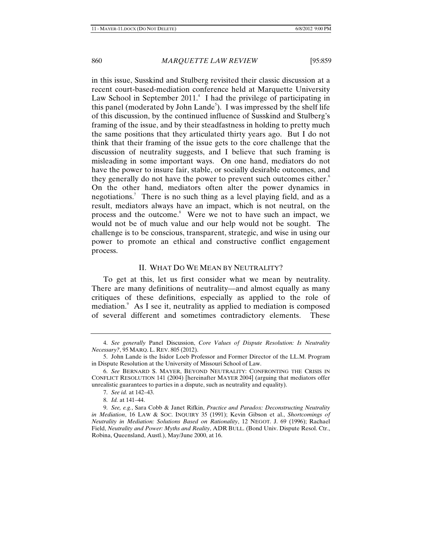in this issue, Susskind and Stulberg revisited their classic discussion at a recent court-based-mediation conference held at Marquette University Law School in September  $2011<sup>4</sup>$ . I had the privilege of participating in this panel (moderated by John Lande<sup>5</sup>). I was impressed by the shelf life of this discussion, by the continued influence of Susskind and Stulberg's framing of the issue, and by their steadfastness in holding to pretty much the same positions that they articulated thirty years ago. But I do not think that their framing of the issue gets to the core challenge that the discussion of neutrality suggests, and I believe that such framing is misleading in some important ways. On one hand, mediators do not have the power to insure fair, stable, or socially desirable outcomes, and they generally do not have the power to prevent such outcomes either. $6$ On the other hand, mediators often alter the power dynamics in negotiations.<sup>7</sup> There is no such thing as a level playing field, and as a result, mediators always have an impact, which is not neutral, on the process and the outcome.<sup>8</sup> Were we not to have such an impact, we would not be of much value and our help would not be sought. The challenge is to be conscious, transparent, strategic, and wise in using our power to promote an ethical and constructive conflict engagement process.

#### II. WHAT DO WE MEAN BY NEUTRALITY?

To get at this, let us first consider what we mean by neutrality. There are many definitions of neutrality—and almost equally as many critiques of these definitions, especially as applied to the role of mediation.<sup>9</sup> As I see it, neutrality as applied to mediation is composed of several different and sometimes contradictory elements. These

<sup>4.</sup> *See generally* Panel Discussion, *Core Values of Dispute Resolution: Is Neutrality Necessary?*, 95 MARQ. L. REV. 805 (2012).

<sup>5.</sup> John Lande is the Isidor Loeb Professor and Former Director of the LL.M. Program in Dispute Resolution at the University of Missouri School of Law.

<sup>6.</sup> *See* BERNARD S. MAYER, BEYOND NEUTRALITY: CONFRONTING THE CRISIS IN CONFLICT RESOLUTION 141 (2004) [hereinafter MAYER 2004] (arguing that mediators offer unrealistic guarantees to parties in a dispute, such as neutrality and equality).

<sup>7.</sup> *See id.* at 142–43.

<sup>8.</sup> *Id.* at 141–44.

<sup>9.</sup> *See, e.g.*, Sara Cobb & Janet Rifkin, *Practice and Paradox: Deconstructing Neutrality in Mediation*, 16 LAW & SOC. INQUIRY 35 (1991); Kevin Gibson et al., *Shortcomings of Neutrality in Mediation: Solutions Based on Rationality*, 12 NEGOT. J. 69 (1996); Rachael Field, *Neutrality and Power: Myths and Reality*, ADR BULL. (Bond Univ. Dispute Resol. Ctr., Robina, Queensland, Austl.), May/June 2000, at 16.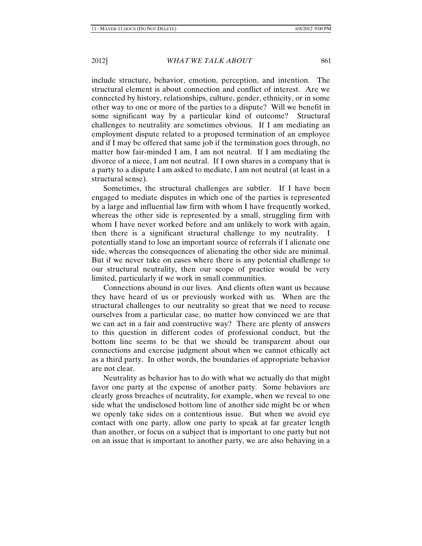include structure, behavior, emotion, perception, and intention. The structural element is about connection and conflict of interest. Are we connected by history, relationships, culture, gender, ethnicity, or in some other way to one or more of the parties to a dispute? Will we benefit in some significant way by a particular kind of outcome? Structural challenges to neutrality are sometimes obvious. If I am mediating an employment dispute related to a proposed termination of an employee and if I may be offered that same job if the termination goes through, no matter how fair-minded I am, I am not neutral. If I am mediating the divorce of a niece, I am not neutral. If I own shares in a company that is a party to a dispute I am asked to mediate, I am not neutral (at least in a structural sense).

Sometimes, the structural challenges are subtler. If I have been engaged to mediate disputes in which one of the parties is represented by a large and influential law firm with whom I have frequently worked, whereas the other side is represented by a small, struggling firm with whom I have never worked before and am unlikely to work with again, then there is a significant structural challenge to my neutrality. I potentially stand to lose an important source of referrals if I alienate one side, whereas the consequences of alienating the other side are minimal. But if we never take on cases where there is any potential challenge to our structural neutrality, then our scope of practice would be very limited, particularly if we work in small communities.

Connections abound in our lives. And clients often want us because they have heard of us or previously worked with us. When are the structural challenges to our neutrality so great that we need to recuse ourselves from a particular case, no matter how convinced we are that we can act in a fair and constructive way? There are plenty of answers to this question in different codes of professional conduct, but the bottom line seems to be that we should be transparent about our connections and exercise judgment about when we cannot ethically act as a third party. In other words, the boundaries of appropriate behavior are not clear.

Neutrality as behavior has to do with what we actually do that might favor one party at the expense of another party. Some behaviors are clearly gross breaches of neutrality, for example, when we reveal to one side what the undisclosed bottom line of another side might be or when we openly take sides on a contentious issue. But when we avoid eye contact with one party, allow one party to speak at far greater length than another, or focus on a subject that is important to one party but not on an issue that is important to another party, we are also behaving in a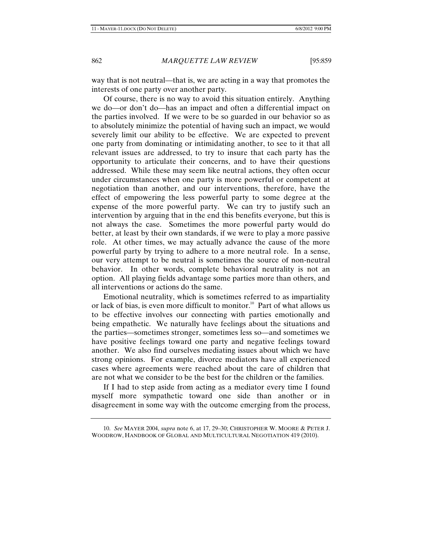way that is not neutral—that is, we are acting in a way that promotes the interests of one party over another party.

Of course, there is no way to avoid this situation entirely. Anything we do—or don't do—has an impact and often a differential impact on the parties involved. If we were to be so guarded in our behavior so as to absolutely minimize the potential of having such an impact, we would severely limit our ability to be effective. We are expected to prevent one party from dominating or intimidating another, to see to it that all relevant issues are addressed, to try to insure that each party has the opportunity to articulate their concerns, and to have their questions addressed. While these may seem like neutral actions, they often occur under circumstances when one party is more powerful or competent at negotiation than another, and our interventions, therefore, have the effect of empowering the less powerful party to some degree at the expense of the more powerful party. We can try to justify such an intervention by arguing that in the end this benefits everyone, but this is not always the case. Sometimes the more powerful party would do better, at least by their own standards, if we were to play a more passive role. At other times, we may actually advance the cause of the more powerful party by trying to adhere to a more neutral role. In a sense, our very attempt to be neutral is sometimes the source of non-neutral behavior. In other words, complete behavioral neutrality is not an option. All playing fields advantage some parties more than others, and all interventions or actions do the same.

Emotional neutrality, which is sometimes referred to as impartiality or lack of bias, is even more difficult to monitor.<sup>10</sup> Part of what allows us to be effective involves our connecting with parties emotionally and being empathetic. We naturally have feelings about the situations and the parties—sometimes stronger, sometimes less so—and sometimes we have positive feelings toward one party and negative feelings toward another. We also find ourselves mediating issues about which we have strong opinions. For example, divorce mediators have all experienced cases where agreements were reached about the care of children that are not what we consider to be the best for the children or the families.

If I had to step aside from acting as a mediator every time I found myself more sympathetic toward one side than another or in disagreement in some way with the outcome emerging from the process,

<sup>10.</sup> *See* MAYER 2004, *supra* note 6, at 17, 29–30; CHRISTOPHER W. MOORE & PETER J. WOODROW, HANDBOOK OF GLOBAL AND MULTICULTURAL NEGOTIATION 419 (2010).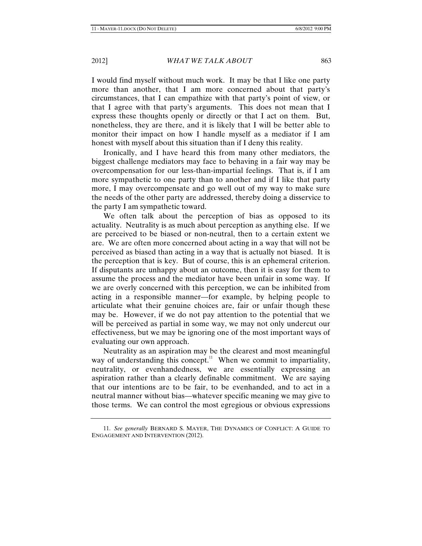I would find myself without much work. It may be that I like one party more than another, that I am more concerned about that party's circumstances, that I can empathize with that party's point of view, or that I agree with that party's arguments. This does not mean that I express these thoughts openly or directly or that I act on them. But, nonetheless, they are there, and it is likely that I will be better able to monitor their impact on how I handle myself as a mediator if I am honest with myself about this situation than if I deny this reality.

Ironically, and I have heard this from many other mediators, the biggest challenge mediators may face to behaving in a fair way may be overcompensation for our less-than-impartial feelings. That is, if I am more sympathetic to one party than to another and if I like that party more, I may overcompensate and go well out of my way to make sure the needs of the other party are addressed, thereby doing a disservice to the party I am sympathetic toward.

We often talk about the perception of bias as opposed to its actuality. Neutrality is as much about perception as anything else. If we are perceived to be biased or non-neutral, then to a certain extent we are. We are often more concerned about acting in a way that will not be perceived as biased than acting in a way that is actually not biased. It is the perception that is key. But of course, this is an ephemeral criterion. If disputants are unhappy about an outcome, then it is easy for them to assume the process and the mediator have been unfair in some way. If we are overly concerned with this perception, we can be inhibited from acting in a responsible manner—for example, by helping people to articulate what their genuine choices are, fair or unfair though these may be. However, if we do not pay attention to the potential that we will be perceived as partial in some way, we may not only undercut our effectiveness, but we may be ignoring one of the most important ways of evaluating our own approach.

Neutrality as an aspiration may be the clearest and most meaningful way of understanding this concept.<sup>11</sup> When we commit to impartiality, neutrality, or evenhandedness, we are essentially expressing an aspiration rather than a clearly definable commitment. We are saying that our intentions are to be fair, to be evenhanded, and to act in a neutral manner without bias—whatever specific meaning we may give to those terms. We can control the most egregious or obvious expressions

<sup>11.</sup> *See generally* BERNARD S. MAYER, THE DYNAMICS OF CONFLICT: A GUIDE TO ENGAGEMENT AND INTERVENTION (2012).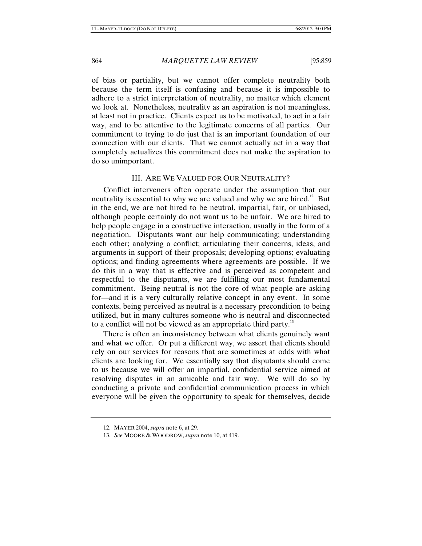of bias or partiality, but we cannot offer complete neutrality both because the term itself is confusing and because it is impossible to adhere to a strict interpretation of neutrality, no matter which element we look at. Nonetheless, neutrality as an aspiration is not meaningless, at least not in practice. Clients expect us to be motivated, to act in a fair way, and to be attentive to the legitimate concerns of all parties. Our commitment to trying to do just that is an important foundation of our connection with our clients. That we cannot actually act in a way that completely actualizes this commitment does not make the aspiration to do so unimportant.

#### III. ARE WE VALUED FOR OUR NEUTRALITY?

Conflict interveners often operate under the assumption that our neutrality is essential to why we are valued and why we are hired.<sup>12</sup> But in the end, we are not hired to be neutral, impartial, fair, or unbiased, although people certainly do not want us to be unfair. We are hired to help people engage in a constructive interaction, usually in the form of a negotiation. Disputants want our help communicating; understanding each other; analyzing a conflict; articulating their concerns, ideas, and arguments in support of their proposals; developing options; evaluating options; and finding agreements where agreements are possible. If we do this in a way that is effective and is perceived as competent and respectful to the disputants, we are fulfilling our most fundamental commitment. Being neutral is not the core of what people are asking for—and it is a very culturally relative concept in any event. In some contexts, being perceived as neutral is a necessary precondition to being utilized, but in many cultures someone who is neutral and disconnected to a conflict will not be viewed as an appropriate third party.<sup>13</sup>

There is often an inconsistency between what clients genuinely want and what we offer. Or put a different way, we assert that clients should rely on our services for reasons that are sometimes at odds with what clients are looking for. We essentially say that disputants should come to us because we will offer an impartial, confidential service aimed at resolving disputes in an amicable and fair way. We will do so by conducting a private and confidential communication process in which everyone will be given the opportunity to speak for themselves, decide

<sup>12.</sup> MAYER 2004, *supra* note 6, at 29.

<sup>13.</sup> *See* MOORE & WOODROW, *supra* note 10, at 419.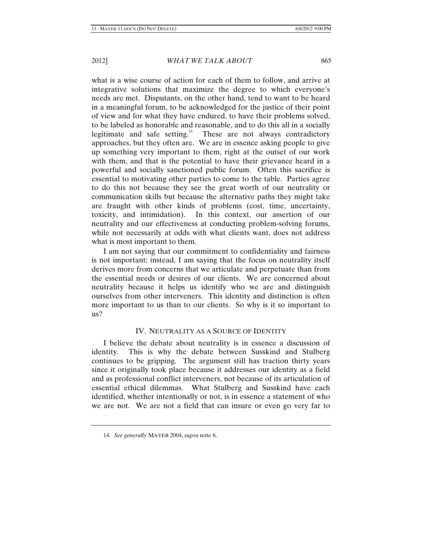what is a wise course of action for each of them to follow, and arrive at integrative solutions that maximize the degree to which everyone's needs are met. Disputants, on the other hand, tend to want to be heard in a meaningful forum, to be acknowledged for the justice of their point of view and for what they have endured, to have their problems solved, to be labeled as honorable and reasonable, and to do this all in a socially legitimate and safe setting.<sup>14</sup> These are not always contradictory approaches, but they often are. We are in essence asking people to give up something very important to them, right at the outset of our work with them, and that is the potential to have their grievance heard in a powerful and socially sanctioned public forum. Often this sacrifice is essential to motivating other parties to come to the table. Parties agree to do this not because they see the great worth of our neutrality or communication skills but because the alternative paths they might take are fraught with other kinds of problems (cost, time, uncertainty, toxicity, and intimidation). In this context, our assertion of our neutrality and our effectiveness at conducting problem-solving forums, while not necessarily at odds with what clients want, does not address what is most important to them.

I am not saying that our commitment to confidentiality and fairness is not important; instead, I am saying that the focus on neutrality itself derives more from concerns that we articulate and perpetuate than from the essential needs or desires of our clients. We are concerned about neutrality because it helps us identify who we are and distinguish ourselves from other interveners. This identity and distinction is often more important to us than to our clients. So why is it so important to us?

#### IV. NEUTRALITY AS A SOURCE OF IDENTITY

I believe the debate about neutrality is in essence a discussion of identity. This is why the debate between Susskind and Stulberg continues to be gripping. The argument still has traction thirty years since it originally took place because it addresses our identity as a field and as professional conflict interveners, not because of its articulation of essential ethical dilemmas. What Stulberg and Susskind have each identified, whether intentionally or not, is in essence a statement of who we are not. We are not a field that can insure or even go very far to

<sup>14.</sup> *See generally* MAYER 2004, *supra* note 6.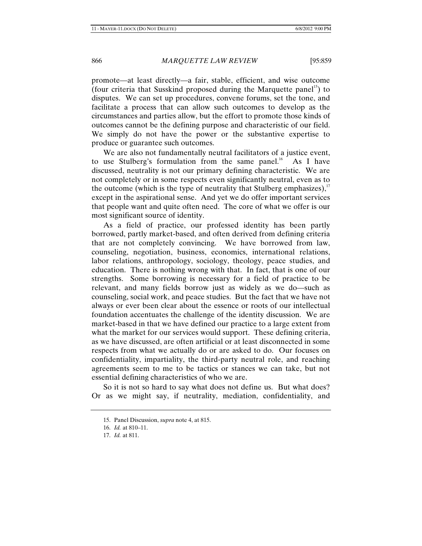promote—at least directly—a fair, stable, efficient, and wise outcome (four criteria that Susskind proposed during the Marquette panel<sup>15</sup>) to disputes. We can set up procedures, convene forums, set the tone, and facilitate a process that can allow such outcomes to develop as the circumstances and parties allow, but the effort to promote those kinds of outcomes cannot be the defining purpose and characteristic of our field. We simply do not have the power or the substantive expertise to produce or guarantee such outcomes.

We are also not fundamentally neutral facilitators of a justice event, to use Stulberg's formulation from the same panel.<sup>16</sup> As I have discussed, neutrality is not our primary defining characteristic. We are not completely or in some respects even significantly neutral, even as to the outcome (which is the type of neutrality that Stulberg emphasizes), $\frac{1}{1}$ except in the aspirational sense. And yet we do offer important services that people want and quite often need. The core of what we offer is our most significant source of identity.

As a field of practice, our professed identity has been partly borrowed, partly market-based, and often derived from defining criteria that are not completely convincing. We have borrowed from law, counseling, negotiation, business, economics, international relations, labor relations, anthropology, sociology, theology, peace studies, and education. There is nothing wrong with that. In fact, that is one of our strengths. Some borrowing is necessary for a field of practice to be relevant, and many fields borrow just as widely as we do—such as counseling, social work, and peace studies. But the fact that we have not always or ever been clear about the essence or roots of our intellectual foundation accentuates the challenge of the identity discussion. We are market-based in that we have defined our practice to a large extent from what the market for our services would support. These defining criteria, as we have discussed, are often artificial or at least disconnected in some respects from what we actually do or are asked to do. Our focuses on confidentiality, impartiality, the third-party neutral role, and reaching agreements seem to me to be tactics or stances we can take, but not essential defining characteristics of who we are.

So it is not so hard to say what does not define us. But what does? Or as we might say, if neutrality, mediation, confidentiality, and

<sup>15.</sup> Panel Discussion, *supra* note 4, at 815.

<sup>16.</sup> *Id.* at 810–11.

<sup>17.</sup> *Id.* at 811.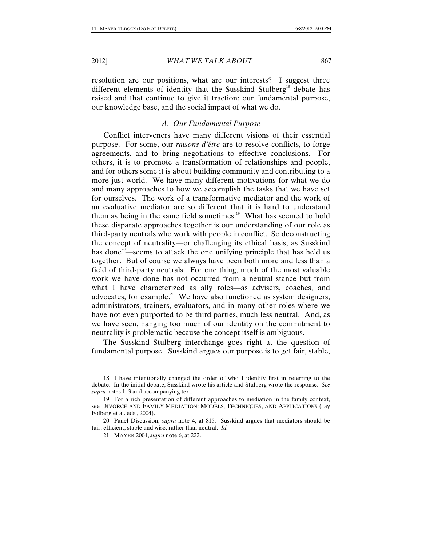resolution are our positions, what are our interests? I suggest three different elements of identity that the Susskind–Stulberg<sup>18</sup> debate has raised and that continue to give it traction: our fundamental purpose, our knowledge base, and the social impact of what we do.

#### *A. Our Fundamental Purpose*

Conflict interveners have many different visions of their essential purpose. For some, our *raisons d'être* are to resolve conflicts, to forge agreements, and to bring negotiations to effective conclusions. For others, it is to promote a transformation of relationships and people, and for others some it is about building community and contributing to a more just world. We have many different motivations for what we do and many approaches to how we accomplish the tasks that we have set for ourselves. The work of a transformative mediator and the work of an evaluative mediator are so different that it is hard to understand them as being in the same field sometimes.<sup>19</sup> What has seemed to hold these disparate approaches together is our understanding of our role as third-party neutrals who work with people in conflict. So deconstructing the concept of neutrality—or challenging its ethical basis, as Susskind has done<sup>20</sup>—seems to attack the one unifying principle that has held us together. But of course we always have been both more and less than a field of third-party neutrals. For one thing, much of the most valuable work we have done has not occurred from a neutral stance but from what I have characterized as ally roles—as advisers, coaches, and advocates, for example.<sup>21</sup> We have also functioned as system designers, administrators, trainers, evaluators, and in many other roles where we have not even purported to be third parties, much less neutral. And, as we have seen, hanging too much of our identity on the commitment to neutrality is problematic because the concept itself is ambiguous.

The Susskind–Stulberg interchange goes right at the question of fundamental purpose. Susskind argues our purpose is to get fair, stable,

<sup>18.</sup> I have intentionally changed the order of who I identify first in referring to the debate. In the initial debate, Susskind wrote his article and Stulberg wrote the response. *See supra* notes 1–3 and accompanying text.

<sup>19.</sup> For a rich presentation of different approaches to mediation in the family context, see DIVORCE AND FAMILY MEDIATION: MODELS, TECHNIQUES, AND APPLICATIONS (Jay Folberg et al. eds., 2004).

<sup>20.</sup> Panel Discussion, *supra* note 4, at 815. Susskind argues that mediators should be fair, efficient, stable and wise, rather than neutral. *Id.* 

<sup>21.</sup> MAYER 2004, *supra* note 6, at 222.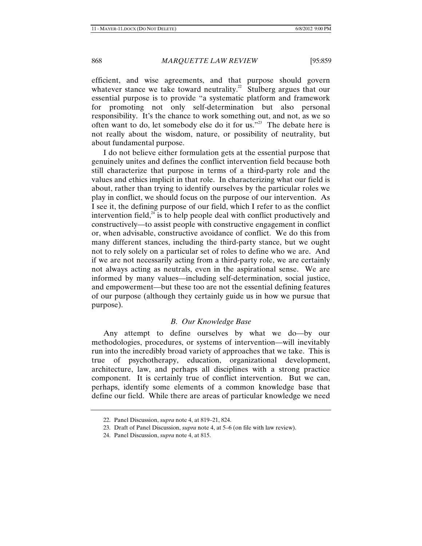efficient, and wise agreements, and that purpose should govern whatever stance we take toward neutrality.<sup>22</sup> Stulberg argues that our essential purpose is to provide "a systematic platform and framework for promoting not only self-determination but also personal responsibility. It's the chance to work something out, and not, as we so often want to do, let somebody else do it for us."<sup>23</sup> The debate here is not really about the wisdom, nature, or possibility of neutrality, but about fundamental purpose.

I do not believe either formulation gets at the essential purpose that genuinely unites and defines the conflict intervention field because both still characterize that purpose in terms of a third-party role and the values and ethics implicit in that role. In characterizing what our field is about, rather than trying to identify ourselves by the particular roles we play in conflict, we should focus on the purpose of our intervention. As I see it, the defining purpose of our field, which I refer to as the conflict intervention field,<sup> $24$ </sup> is to help people deal with conflict productively and constructively—to assist people with constructive engagement in conflict or, when advisable, constructive avoidance of conflict. We do this from many different stances, including the third-party stance, but we ought not to rely solely on a particular set of roles to define who we are. And if we are not necessarily acting from a third-party role, we are certainly not always acting as neutrals, even in the aspirational sense. We are informed by many values—including self-determination, social justice, and empowerment—but these too are not the essential defining features of our purpose (although they certainly guide us in how we pursue that purpose).

#### *B. Our Knowledge Base*

Any attempt to define ourselves by what we do—by our methodologies, procedures, or systems of intervention—will inevitably run into the incredibly broad variety of approaches that we take. This is true of psychotherapy, education, organizational development, architecture, law, and perhaps all disciplines with a strong practice component. It is certainly true of conflict intervention. But we can, perhaps, identify some elements of a common knowledge base that define our field. While there are areas of particular knowledge we need

<sup>22.</sup> Panel Discussion, *supra* note 4, at 819–21, 824.

<sup>23.</sup> Draft of Panel Discussion, *supra* note 4, at 5–6 (on file with law review).

<sup>24.</sup> Panel Discussion, *supra* note 4, at 815.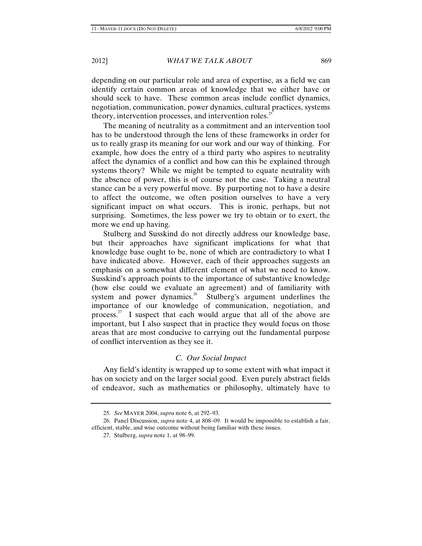depending on our particular role and area of expertise, as a field we can identify certain common areas of knowledge that we either have or should seek to have. These common areas include conflict dynamics, negotiation, communication, power dynamics, cultural practices, systems theory, intervention processes, and intervention roles.<sup>25</sup>

The meaning of neutrality as a commitment and an intervention tool has to be understood through the lens of these frameworks in order for us to really grasp its meaning for our work and our way of thinking. For example, how does the entry of a third party who aspires to neutrality affect the dynamics of a conflict and how can this be explained through systems theory? While we might be tempted to equate neutrality with the absence of power, this is of course not the case. Taking a neutral stance can be a very powerful move. By purporting not to have a desire to affect the outcome, we often position ourselves to have a very significant impact on what occurs. This is ironic, perhaps, but not surprising. Sometimes, the less power we try to obtain or to exert, the more we end up having.

Stulberg and Susskind do not directly address our knowledge base, but their approaches have significant implications for what that knowledge base ought to be, none of which are contradictory to what I have indicated above. However, each of their approaches suggests an emphasis on a somewhat different element of what we need to know. Susskind's approach points to the importance of substantive knowledge (how else could we evaluate an agreement) and of familiarity with system and power dynamics.<sup>26</sup> Stulberg's argument underlines the importance of our knowledge of communication, negotiation, and process.27 I suspect that each would argue that all of the above are important, but I also suspect that in practice they would focus on those areas that are most conducive to carrying out the fundamental purpose of conflict intervention as they see it.

#### *C. Our Social Impact*

Any field's identity is wrapped up to some extent with what impact it has on society and on the larger social good. Even purely abstract fields of endeavor, such as mathematics or philosophy, ultimately have to

<sup>25.</sup> *See* MAYER 2004, *supra* note 6, at 292–93.

<sup>26.</sup> Panel Discussion, *supra* note 4, at 808–09. It would be impossible to establish a fair, efficient, stable, and wise outcome without being familiar with these issues.

<sup>27.</sup> Stulberg, *supra* note 1, at 98–99.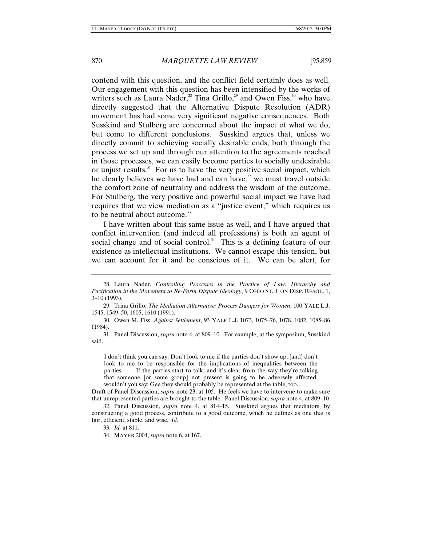contend with this question, and the conflict field certainly does as well. Our engagement with this question has been intensified by the works of writers such as Laura Nader,<sup>28</sup> Tina Grillo,<sup>29</sup> and Owen Fiss,<sup>30</sup> who have directly suggested that the Alternative Dispute Resolution (ADR) movement has had some very significant negative consequences. Both Susskind and Stulberg are concerned about the impact of what we do, but come to different conclusions. Susskind argues that, unless we directly commit to achieving socially desirable ends, both through the process we set up and through our attention to the agreements reached in those processes, we can easily become parties to socially undesirable or unjust results. $31$  For us to have the very positive social impact, which he clearly believes we have had and can have, $32$  we must travel outside the comfort zone of neutrality and address the wisdom of the outcome. For Stulberg, the very positive and powerful social impact we have had requires that we view mediation as a "justice event," which requires us to be neutral about outcome.<sup>33</sup>

I have written about this same issue as well, and I have argued that conflict intervention (and indeed all professions) is both an agent of social change and of social control.<sup>34</sup> This is a defining feature of our existence as intellectual institutions. We cannot escape this tension, but we can account for it and be conscious of it. We can be alert, for

30. Owen M. Fiss, *Against Settlement*, 93 YALE L.J. 1073, 1075–76, 1078, 1082, 1085–86 (1984).

31. Panel Discussion, *supra* note 4, at 809–10. For example, at the symposium, Susskind said,

I don't think you can say: Don't look to me if the parties don't show up, [and] don't look to me to be responsible for the implications of inequalities between the parties. . . . If the parties start to talk, and it's clear from the way they're talking that someone [or some group] not present is going to be adversely affected, wouldn't you say: Gee they should probably be represented at the table, too.

Draft of Panel Discussion, *supra* note 23, at 105. He feels we have to intervene to make sure that unrepresented parties are brought to the table. Panel Discussion, *supra* note 4, at 809–10

33. *Id.* at 811.

34. MAYER 2004, *supra* note 6, at 167.

<sup>28.</sup> Laura Nader, *Controlling Processes in the Practice of Law: Hierarchy and Pacification in the Movement to Re-Form Dispute Ideology*, 9 OHIO ST. J. ON DISP. RESOL. 1, 3–10 (1993).

<sup>29.</sup> Trina Grillo, *The Mediation Alternative: Process Dangers for Women*, 100 YALE L.J. 1545, 1549–50, 1605, 1610 (1991).

<sup>32.</sup> Panel Discussion, *supra* note 4, at 814–15.Susskind argues that mediators, by constructing a good process, contribute to a good outcome, which he defines as one that is fair, efficient, stable, and wise. *Id.*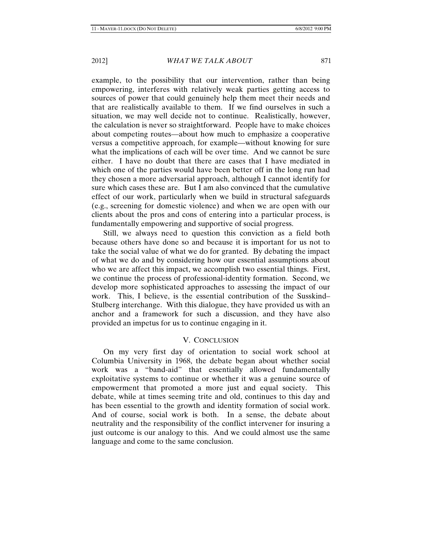example, to the possibility that our intervention, rather than being empowering, interferes with relatively weak parties getting access to sources of power that could genuinely help them meet their needs and that are realistically available to them. If we find ourselves in such a situation, we may well decide not to continue. Realistically, however, the calculation is never so straightforward. People have to make choices about competing routes—about how much to emphasize a cooperative versus a competitive approach, for example—without knowing for sure what the implications of each will be over time. And we cannot be sure either. I have no doubt that there are cases that I have mediated in which one of the parties would have been better off in the long run had they chosen a more adversarial approach, although I cannot identify for sure which cases these are. But I am also convinced that the cumulative effect of our work, particularly when we build in structural safeguards (e.g., screening for domestic violence) and when we are open with our clients about the pros and cons of entering into a particular process, is fundamentally empowering and supportive of social progress.

Still, we always need to question this conviction as a field both because others have done so and because it is important for us not to take the social value of what we do for granted. By debating the impact of what we do and by considering how our essential assumptions about who we are affect this impact, we accomplish two essential things. First, we continue the process of professional-identity formation. Second, we develop more sophisticated approaches to assessing the impact of our work. This, I believe, is the essential contribution of the Susskind– Stulberg interchange. With this dialogue, they have provided us with an anchor and a framework for such a discussion, and they have also provided an impetus for us to continue engaging in it.

#### V. CONCLUSION

On my very first day of orientation to social work school at Columbia University in 1968, the debate began about whether social work was a "band-aid" that essentially allowed fundamentally exploitative systems to continue or whether it was a genuine source of empowerment that promoted a more just and equal society. This debate, while at times seeming trite and old, continues to this day and has been essential to the growth and identity formation of social work. And of course, social work is both. In a sense, the debate about neutrality and the responsibility of the conflict intervener for insuring a just outcome is our analogy to this. And we could almost use the same language and come to the same conclusion.